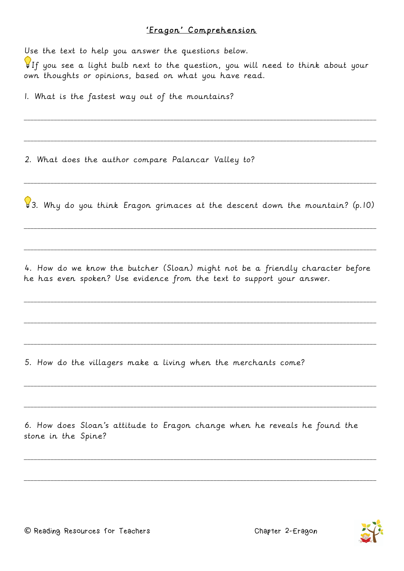## 'Eragon' Comprehension

Use the text to help you answer the questions below.

If you see a light bulb next to the question, you will need to think about your own thoughts or opinions, based on what you have read.

\_\_\_\_\_\_\_\_\_\_\_\_\_\_\_\_\_\_\_\_\_\_\_\_\_\_\_\_\_\_\_\_\_\_\_\_\_\_\_\_\_\_\_\_\_\_\_\_\_\_\_\_\_\_\_\_\_\_\_\_\_\_\_\_\_\_\_\_\_\_\_\_\_\_\_\_\_\_\_\_\_\_\_\_\_\_\_\_\_\_\_\_\_\_\_\_\_\_\_\_\_\_\_\_\_\_

\_\_\_\_\_\_\_\_\_\_\_\_\_\_\_\_\_\_\_\_\_\_\_\_\_\_\_\_\_\_\_\_\_\_\_\_\_\_\_\_\_\_\_\_\_\_\_\_\_\_\_\_\_\_\_\_\_\_\_\_\_\_\_\_\_\_\_\_\_\_\_\_\_\_\_\_\_\_\_\_\_\_\_\_\_\_\_\_\_\_\_\_\_\_\_\_\_\_\_\_\_\_\_\_\_\_

1. What is the fastest way out of the mountains?

2. What does the author compare Palancar Valley to?

3. Why do you think Eragon grimaces at the descent down the mountain? (p.10)

\_\_\_\_\_\_\_\_\_\_\_\_\_\_\_\_\_\_\_\_\_\_\_\_\_\_\_\_\_\_\_\_\_\_\_\_\_\_\_\_\_\_\_\_\_\_\_\_\_\_\_\_\_\_\_\_\_\_\_\_\_\_\_\_\_\_\_\_\_\_\_\_\_\_\_\_\_\_\_\_\_\_\_\_\_\_\_\_\_\_\_\_\_\_\_\_\_\_\_\_\_\_\_\_\_\_

\_\_\_\_\_\_\_\_\_\_\_\_\_\_\_\_\_\_\_\_\_\_\_\_\_\_\_\_\_\_\_\_\_\_\_\_\_\_\_\_\_\_\_\_\_\_\_\_\_\_\_\_\_\_\_\_\_\_\_\_\_\_\_\_\_\_\_\_\_\_\_\_\_\_\_\_\_\_\_\_\_\_\_\_\_\_\_\_\_\_\_\_\_\_\_\_\_\_\_\_\_\_\_\_\_\_

\_\_\_\_\_\_\_\_\_\_\_\_\_\_\_\_\_\_\_\_\_\_\_\_\_\_\_\_\_\_\_\_\_\_\_\_\_\_\_\_\_\_\_\_\_\_\_\_\_\_\_\_\_\_\_\_\_\_\_\_\_\_\_\_\_\_\_\_\_\_\_\_\_\_\_\_\_\_\_\_\_\_\_\_\_\_\_\_\_\_\_\_\_\_\_\_\_\_\_\_\_\_\_\_\_\_

4. How do we know the butcher (Sloan) might not be a friendly character before he has even spoken? Use evidence from the text to support your answer.

\_\_\_\_\_\_\_\_\_\_\_\_\_\_\_\_\_\_\_\_\_\_\_\_\_\_\_\_\_\_\_\_\_\_\_\_\_\_\_\_\_\_\_\_\_\_\_\_\_\_\_\_\_\_\_\_\_\_\_\_\_\_\_\_\_\_\_\_\_\_\_\_\_\_\_\_\_\_\_\_\_\_\_\_\_\_\_\_\_\_\_\_\_\_\_\_\_\_\_\_\_\_\_\_\_\_

\_\_\_\_\_\_\_\_\_\_\_\_\_\_\_\_\_\_\_\_\_\_\_\_\_\_\_\_\_\_\_\_\_\_\_\_\_\_\_\_\_\_\_\_\_\_\_\_\_\_\_\_\_\_\_\_\_\_\_\_\_\_\_\_\_\_\_\_\_\_\_\_\_\_\_\_\_\_\_\_\_\_\_\_\_\_\_\_\_\_\_\_\_\_\_\_\_\_\_\_\_\_\_\_\_\_

\_\_\_\_\_\_\_\_\_\_\_\_\_\_\_\_\_\_\_\_\_\_\_\_\_\_\_\_\_\_\_\_\_\_\_\_\_\_\_\_\_\_\_\_\_\_\_\_\_\_\_\_\_\_\_\_\_\_\_\_\_\_\_\_\_\_\_\_\_\_\_\_\_\_\_\_\_\_\_\_\_\_\_\_\_\_\_\_\_\_\_\_\_\_\_\_\_\_\_\_\_\_\_\_\_\_

\_\_\_\_\_\_\_\_\_\_\_\_\_\_\_\_\_\_\_\_\_\_\_\_\_\_\_\_\_\_\_\_\_\_\_\_\_\_\_\_\_\_\_\_\_\_\_\_\_\_\_\_\_\_\_\_\_\_\_\_\_\_\_\_\_\_\_\_\_\_\_\_\_\_\_\_\_\_\_\_\_\_\_\_\_\_\_\_\_\_\_\_\_\_\_\_\_\_\_\_\_\_\_\_\_\_

\_\_\_\_\_\_\_\_\_\_\_\_\_\_\_\_\_\_\_\_\_\_\_\_\_\_\_\_\_\_\_\_\_\_\_\_\_\_\_\_\_\_\_\_\_\_\_\_\_\_\_\_\_\_\_\_\_\_\_\_\_\_\_\_\_\_\_\_\_\_\_\_\_\_\_\_\_\_\_\_\_\_\_\_\_\_\_\_\_\_\_\_\_\_\_\_\_\_\_\_\_\_\_\_\_\_

\_\_\_\_\_\_\_\_\_\_\_\_\_\_\_\_\_\_\_\_\_\_\_\_\_\_\_\_\_\_\_\_\_\_\_\_\_\_\_\_\_\_\_\_\_\_\_\_\_\_\_\_\_\_\_\_\_\_\_\_\_\_\_\_\_\_\_\_\_\_\_\_\_\_\_\_\_\_\_\_\_\_\_\_\_\_\_\_\_\_\_\_\_\_\_\_\_\_\_\_\_\_\_\_\_\_

\_\_\_\_\_\_\_\_\_\_\_\_\_\_\_\_\_\_\_\_\_\_\_\_\_\_\_\_\_\_\_\_\_\_\_\_\_\_\_\_\_\_\_\_\_\_\_\_\_\_\_\_\_\_\_\_\_\_\_\_\_\_\_\_\_\_\_\_\_\_\_\_\_\_\_\_\_\_\_\_\_\_\_\_\_\_\_\_\_\_\_\_\_\_\_\_\_\_\_\_\_\_\_\_\_\_

5. How do the villagers make a living when the merchants come?

6. How does Sloan's attitude to Eragon change when he reveals he found the stone in the Spine?